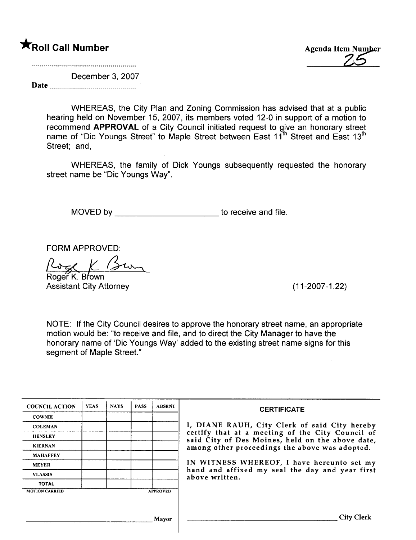# **\***Roll Call Number Agenda Item Number

December 3, 2007

Date

WHEREAS, the City Plan and Zoning Commission has advised that at a public hearing held on November 15, 2007, its members voted 12-0 in support of a motion to recommend APPROVAL of a City Council initiated request to give an honorary street name of "Dic Youngs Street" to Maple Street between East 11<sup>th</sup> Street and East 13<sup>th</sup> Street; and,

WHEREAS, the family of Dick Youngs subsequently requested the honorary street name be "Die Youngs Way".

MOVED by \_\_\_\_\_\_\_\_\_\_\_\_\_\_\_\_\_\_\_\_\_\_\_\_\_\_\_\_\_\_to receive and file.

FORM APPROVED:<br>
<u>Roger K. Brown</u>

Assistant City Attorney (11-2007-1.22)

NOTE: If the City Council desires to approve the honorary street name, an appropriate motion would be: "to receive and file, and to direct the City Manager to have the honorary name of 'Die Youngs Way' added to the existing street name signs for this segment of Maple Street."

| <b>COUNCIL ACTION</b> | <b>YEAS</b> | <b>NAYS</b> | <b>PASS</b> | <b>ABSENT</b>   | <b>CERTIFICATE</b>                                                                                                                                     |  |  |  |  |  |  |
|-----------------------|-------------|-------------|-------------|-----------------|--------------------------------------------------------------------------------------------------------------------------------------------------------|--|--|--|--|--|--|
| <b>COWNIE</b>         |             |             |             |                 |                                                                                                                                                        |  |  |  |  |  |  |
| <b>COLEMAN</b>        |             |             |             |                 | I, DIANE RAUH, City Clerk of said City hereby                                                                                                          |  |  |  |  |  |  |
| <b>HENSLEY</b>        |             |             |             |                 | certify that at a meeting of the City Council of<br>said City of Des Moines, held on the above date,<br>among other proceedings the above was adopted. |  |  |  |  |  |  |
| <b>KIERNAN</b>        |             |             |             |                 |                                                                                                                                                        |  |  |  |  |  |  |
| <b>MAHAFFEY</b>       |             |             |             |                 |                                                                                                                                                        |  |  |  |  |  |  |
| <b>MEYER</b>          |             |             |             |                 | IN WITNESS WHEREOF, I have hereunto set my                                                                                                             |  |  |  |  |  |  |
| <b>VLASSIS</b>        |             |             |             |                 | hand and affixed my seal the day and year first<br>above written.                                                                                      |  |  |  |  |  |  |
| <b>TOTAL</b>          |             |             |             |                 |                                                                                                                                                        |  |  |  |  |  |  |
| <b>MOTION CARRIED</b> |             |             |             | <b>APPROVED</b> |                                                                                                                                                        |  |  |  |  |  |  |
|                       |             |             |             |                 |                                                                                                                                                        |  |  |  |  |  |  |
|                       |             |             |             | Mavor           |                                                                                                                                                        |  |  |  |  |  |  |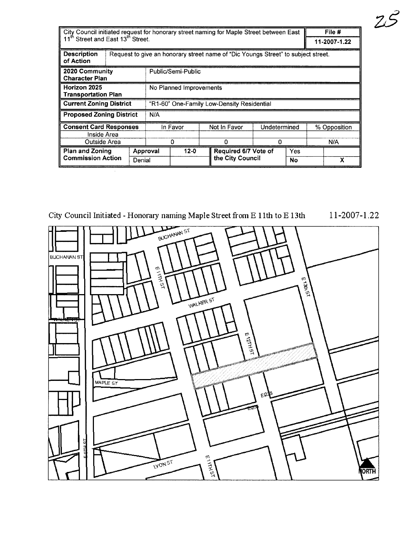| City Council initiated request for honorary street naming for Maple Street between East |                                                                                   |   |                                            |  |              |                      |              |     | File #       |
|-----------------------------------------------------------------------------------------|-----------------------------------------------------------------------------------|---|--------------------------------------------|--|--------------|----------------------|--------------|-----|--------------|
| 11 <sup>th</sup> Street and East 13 <sup>th</sup> Street.                               |                                                                                   |   |                                            |  |              |                      | 11-2007-1.22 |     |              |
| <b>Description</b><br>of Action                                                         | Request to give an honorary street name of "Dic Youngs Street" to subject street. |   |                                            |  |              |                      |              |     |              |
| 2020 Community<br><b>Character Plan</b>                                                 |                                                                                   |   | Public/Semi-Public                         |  |              |                      |              |     |              |
| Horizon 2025<br>Transportation Plan                                                     |                                                                                   |   | No Planned Improvements                    |  |              |                      |              |     |              |
| <b>Current Zoning District</b>                                                          |                                                                                   |   | "R1-60" One-Family Low-Density Residential |  |              |                      |              |     |              |
| <b>Proposed Zoning District</b>                                                         |                                                                                   |   | N/A                                        |  |              |                      |              |     |              |
| <b>Consent Card Responses</b>                                                           |                                                                                   |   | In Favor                                   |  | Not In Favor |                      | Undetermined |     | % Opposition |
| Inside Area                                                                             |                                                                                   |   |                                            |  |              |                      |              |     |              |
| Outside Area                                                                            |                                                                                   | 0 |                                            |  | o            | $\Omega$             |              | N/A |              |
| <b>Plan and Zoning</b>                                                                  | Denial                                                                            |   | $12 - 0$<br>Approval                       |  |              | Required 6/7 Vote of |              | Yes |              |
| <b>Commission Action</b>                                                                |                                                                                   |   |                                            |  |              | the City Council     |              | No  | x            |
|                                                                                         |                                                                                   |   |                                            |  |              |                      |              |     |              |

City Council Initiated - Honorary naming Maple Street from E 11th to E 13th 11-2007-1.22



:z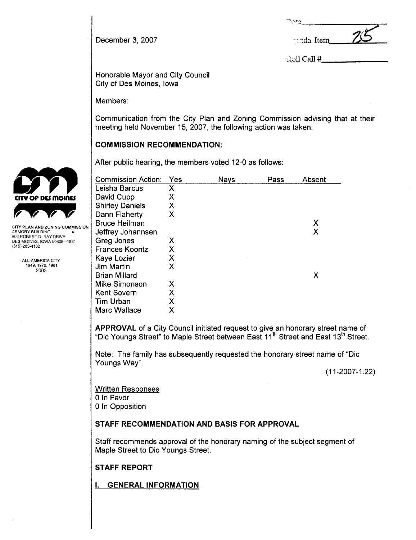| 'CIO       |  |
|------------|--|
| ganda Item |  |
|            |  |

 $R$ oll Call  $#$ 

Honorable Mayor and City Council City of Des Moines, Iowa

Members:

December 3, 2007

Communication from the City Plan and Zoning Commission advising that at their meeting held November 15, 2007, the following action was taken:

# COMMISSION RECOMMENDATION:

After public hearing, the members voted 12-0 as follows:

| <b>Commission Action:</b> | Yes | <b>Nays</b> | Pass | Absent |
|---------------------------|-----|-------------|------|--------|
| Leisha Barcus             | Χ   |             |      |        |
| David Cupp                | Χ   |             |      |        |
| <b>Shirley Daniels</b>    | Χ   |             |      |        |
| Dann Flaherty             | Х   |             |      |        |
| <b>Bruce Heilman</b>      |     |             |      | X      |
| Jeffrey Johannsen         |     |             |      | Х      |
| Greg Jones                | Х   |             |      |        |
| <b>Frances Koontz</b>     | Χ   |             |      |        |
| Kaye Lozier               | X   |             |      |        |
| Jim Martin                | х   |             |      |        |
| <b>Brian Millard</b>      |     |             |      | Х      |
| Mike Simonson             | Х   |             |      |        |
| <b>Kent Sovern</b>        | Χ   |             |      |        |
| Tim Urban                 | Χ   |             |      |        |
| <b>Marc Wallace</b>       | Χ   |             |      |        |

APPROVAL of a City Council initiated request to give an honorary street name of "Dic Youngs Street" to Maple Street between East 11<sup>th</sup> Street and East 13<sup>th</sup> Street.

Note: The family has subsequently requested the honorary street name of "Dic Youngs Way".

(11-2007-1.22)

Written Responses o In Favor o In Opposition

# STAFF RECOMMENDATION AND BASIS FOR APPROVAL

Staff recommends approval of the honorary naming of the subject segment of Maple Street to Dic Youngs Street.

STAFF REPORT

i. GENERAL INFORMATION



TY PLAN AND ZONING COMMISSION ARMORY BUILDING 602 ROBERT D. RAY DRIVE DES MOINES, IOWA 50309-1881 (515) 283-4182

> ALL-AMERICA CITY 1949,1976,1981 2003